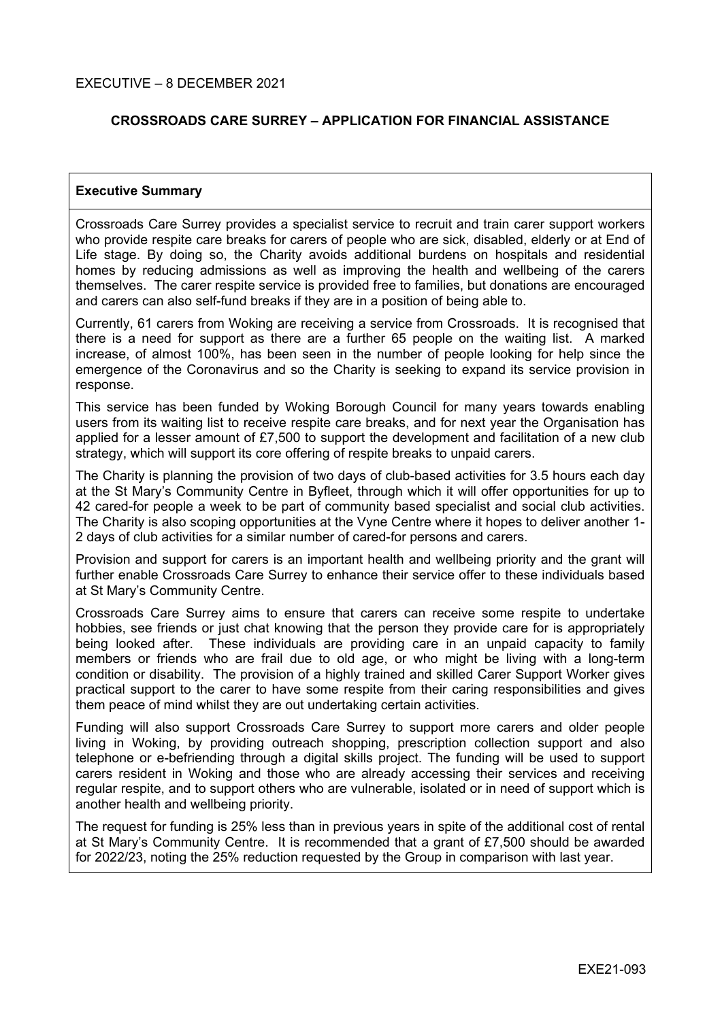## **CROSSROADS CARE SURREY – APPLICATION FOR FINANCIAL ASSISTANCE**

#### **Executive Summary**

Crossroads Care Surrey provides a specialist service to recruit and train carer support workers who provide respite care breaks for carers of people who are sick, disabled, elderly or at End of Life stage. By doing so, the Charity avoids additional burdens on hospitals and residential homes by reducing admissions as well as improving the health and wellbeing of the carers themselves. The carer respite service is provided free to families, but donations are encouraged and carers can also self-fund breaks if they are in a position of being able to.

Currently, 61 carers from Woking are receiving a service from Crossroads. It is recognised that there is a need for support as there are a further 65 people on the waiting list. A marked increase, of almost 100%, has been seen in the number of people looking for help since the emergence of the Coronavirus and so the Charity is seeking to expand its service provision in response.

This service has been funded by Woking Borough Council for many years towards enabling users from its waiting list to receive respite care breaks, and for next year the Organisation has applied for a lesser amount of £7,500 to support the development and facilitation of a new club strategy, which will support its core offering of respite breaks to unpaid carers.

The Charity is planning the provision of two days of club-based activities for 3.5 hours each day at the St Mary's Community Centre in Byfleet, through which it will offer opportunities for up to 42 cared-for people a week to be part of community based specialist and social club activities. The Charity is also scoping opportunities at the Vyne Centre where it hopes to deliver another 1- 2 days of club activities for a similar number of cared-for persons and carers.

Provision and support for carers is an important health and wellbeing priority and the grant will further enable Crossroads Care Surrey to enhance their service offer to these individuals based at St Mary's Community Centre.

Crossroads Care Surrey aims to ensure that carers can receive some respite to undertake hobbies, see friends or just chat knowing that the person they provide care for is appropriately being looked after. These individuals are providing care in an unpaid capacity to family members or friends who are frail due to old age, or who might be living with a long-term condition or disability. The provision of a highly trained and skilled Carer Support Worker gives practical support to the carer to have some respite from their caring responsibilities and gives them peace of mind whilst they are out undertaking certain activities.

Funding will also support Crossroads Care Surrey to support more carers and older people living in Woking, by providing outreach shopping, prescription collection support and also telephone or e-befriending through a digital skills project. The funding will be used to support carers resident in Woking and those who are already accessing their services and receiving regular respite, and to support others who are vulnerable, isolated or in need of support which is another health and wellbeing priority.

The request for funding is 25% less than in previous years in spite of the additional cost of rental at St Mary's Community Centre. It is recommended that a grant of £7,500 should be awarded for 2022/23, noting the 25% reduction requested by the Group in comparison with last year.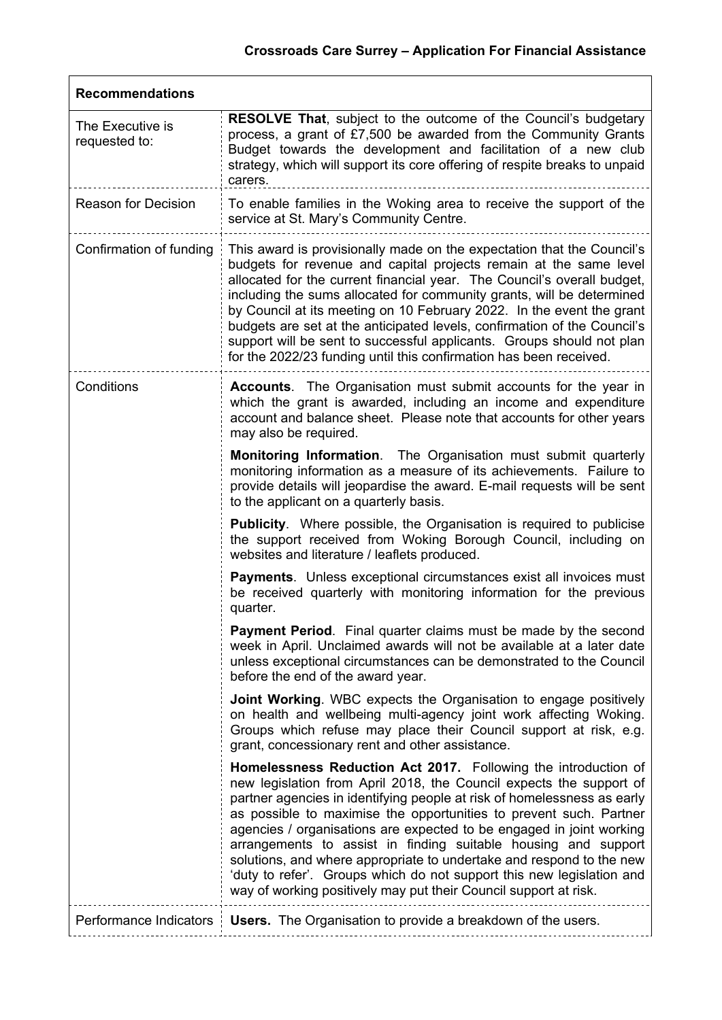| <b>Recommendations</b>            |                                                                                                                                                                                                                                                                                                                                                                                                                                                                                                                                                                                                                                                       |  |  |  |
|-----------------------------------|-------------------------------------------------------------------------------------------------------------------------------------------------------------------------------------------------------------------------------------------------------------------------------------------------------------------------------------------------------------------------------------------------------------------------------------------------------------------------------------------------------------------------------------------------------------------------------------------------------------------------------------------------------|--|--|--|
| The Executive is<br>requested to: | <b>RESOLVE That, subject to the outcome of the Council's budgetary</b><br>process, a grant of £7,500 be awarded from the Community Grants<br>Budget towards the development and facilitation of a new club<br>strategy, which will support its core offering of respite breaks to unpaid<br>carers.                                                                                                                                                                                                                                                                                                                                                   |  |  |  |
| <b>Reason for Decision</b>        | To enable families in the Woking area to receive the support of the<br>service at St. Mary's Community Centre.                                                                                                                                                                                                                                                                                                                                                                                                                                                                                                                                        |  |  |  |
| Confirmation of funding           | This award is provisionally made on the expectation that the Council's<br>budgets for revenue and capital projects remain at the same level<br>allocated for the current financial year. The Council's overall budget,<br>including the sums allocated for community grants, will be determined<br>by Council at its meeting on 10 February 2022. In the event the grant<br>budgets are set at the anticipated levels, confirmation of the Council's<br>support will be sent to successful applicants. Groups should not plan<br>for the 2022/23 funding until this confirmation has been received.                                                   |  |  |  |
| Conditions                        | <b>Accounts.</b> The Organisation must submit accounts for the year in<br>which the grant is awarded, including an income and expenditure<br>account and balance sheet. Please note that accounts for other years<br>may also be required.                                                                                                                                                                                                                                                                                                                                                                                                            |  |  |  |
|                                   | <b>Monitoring Information.</b> The Organisation must submit quarterly<br>monitoring information as a measure of its achievements. Failure to<br>provide details will jeopardise the award. E-mail requests will be sent<br>to the applicant on a quarterly basis.                                                                                                                                                                                                                                                                                                                                                                                     |  |  |  |
|                                   | <b>Publicity.</b> Where possible, the Organisation is required to publicise<br>the support received from Woking Borough Council, including on<br>websites and literature / leaflets produced.                                                                                                                                                                                                                                                                                                                                                                                                                                                         |  |  |  |
|                                   | Payments. Unless exceptional circumstances exist all invoices must<br>be received quarterly with monitoring information for the previous<br>quarter.                                                                                                                                                                                                                                                                                                                                                                                                                                                                                                  |  |  |  |
|                                   | <b>Payment Period.</b> Final quarter claims must be made by the second<br>week in April. Unclaimed awards will not be available at a later date<br>unless exceptional circumstances can be demonstrated to the Council<br>before the end of the award year.                                                                                                                                                                                                                                                                                                                                                                                           |  |  |  |
|                                   | <b>Joint Working.</b> WBC expects the Organisation to engage positively<br>on health and wellbeing multi-agency joint work affecting Woking.<br>Groups which refuse may place their Council support at risk, e.g.<br>grant, concessionary rent and other assistance.                                                                                                                                                                                                                                                                                                                                                                                  |  |  |  |
|                                   | Homelessness Reduction Act 2017. Following the introduction of<br>new legislation from April 2018, the Council expects the support of<br>partner agencies in identifying people at risk of homelessness as early<br>as possible to maximise the opportunities to prevent such. Partner<br>agencies / organisations are expected to be engaged in joint working<br>arrangements to assist in finding suitable housing and support<br>solutions, and where appropriate to undertake and respond to the new<br>'duty to refer'. Groups which do not support this new legislation and<br>way of working positively may put their Council support at risk. |  |  |  |
| Performance Indicators            | <b>Users.</b> The Organisation to provide a breakdown of the users.                                                                                                                                                                                                                                                                                                                                                                                                                                                                                                                                                                                   |  |  |  |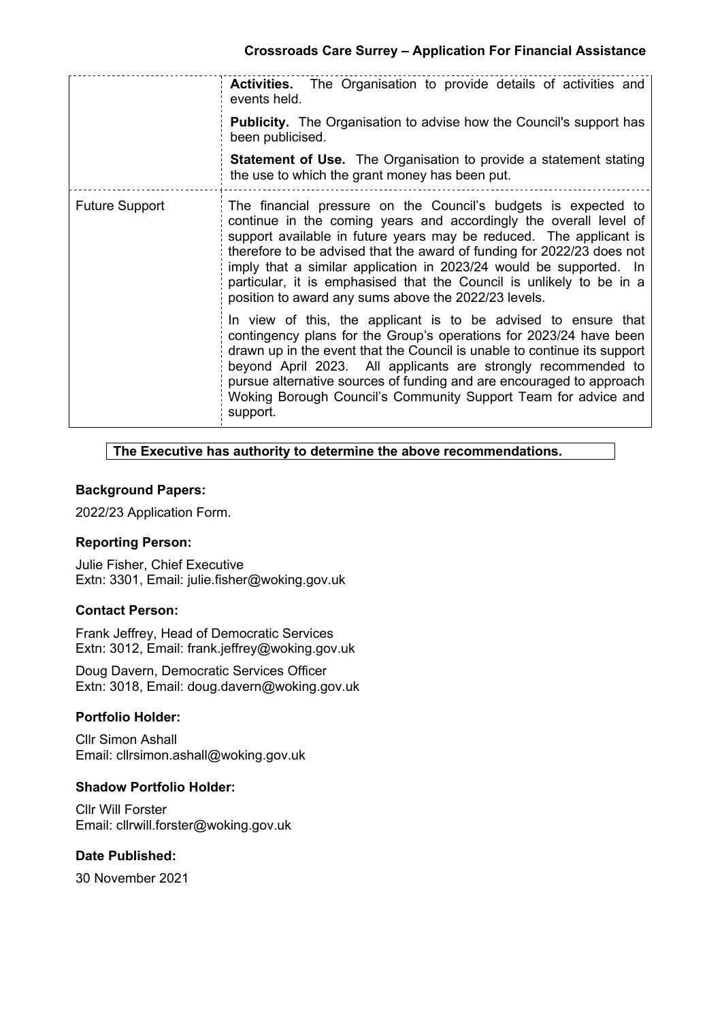|                       | <b>Activities.</b> The Organisation to provide details of activities and<br>events held.                                                                                                                                                                                                                                                                                                                                                                                                  |
|-----------------------|-------------------------------------------------------------------------------------------------------------------------------------------------------------------------------------------------------------------------------------------------------------------------------------------------------------------------------------------------------------------------------------------------------------------------------------------------------------------------------------------|
|                       | <b>Publicity.</b> The Organisation to advise how the Council's support has<br>been publicised.                                                                                                                                                                                                                                                                                                                                                                                            |
|                       | <b>Statement of Use.</b> The Organisation to provide a statement stating<br>the use to which the grant money has been put.                                                                                                                                                                                                                                                                                                                                                                |
| <b>Future Support</b> | The financial pressure on the Council's budgets is expected to<br>continue in the coming years and accordingly the overall level of<br>support available in future years may be reduced. The applicant is<br>therefore to be advised that the award of funding for 2022/23 does not<br>imply that a similar application in 2023/24 would be supported. In<br>particular, it is emphasised that the Council is unlikely to be in a<br>position to award any sums above the 2022/23 levels. |
|                       | In view of this, the applicant is to be advised to ensure that<br>contingency plans for the Group's operations for 2023/24 have been<br>drawn up in the event that the Council is unable to continue its support<br>beyond April 2023. All applicants are strongly recommended to<br>pursue alternative sources of funding and are encouraged to approach<br>Woking Borough Council's Community Support Team for advice and<br>support.                                                   |

## **The Executive has authority to determine the above recommendations.**

## **Background Papers:**

2022/23 Application Form.

### **Reporting Person:**

Julie Fisher, Chief Executive Extn: 3301, Email: julie.fisher@woking.gov.uk

### **Contact Person:**

Frank Jeffrey, Head of Democratic Services Extn: 3012, Email: frank.jeffrey@woking.gov.uk

Doug Davern, Democratic Services Officer Extn: 3018, Email: doug.davern@woking.gov.uk

# **Portfolio Holder:**

Cllr Simon Ashall Email: cllrsimon.ashall@woking.gov.uk

### **Shadow Portfolio Holder:**

Cllr Will Forster Email: cllrwill.forster@woking.gov.uk

## **Date Published:**

30 November 2021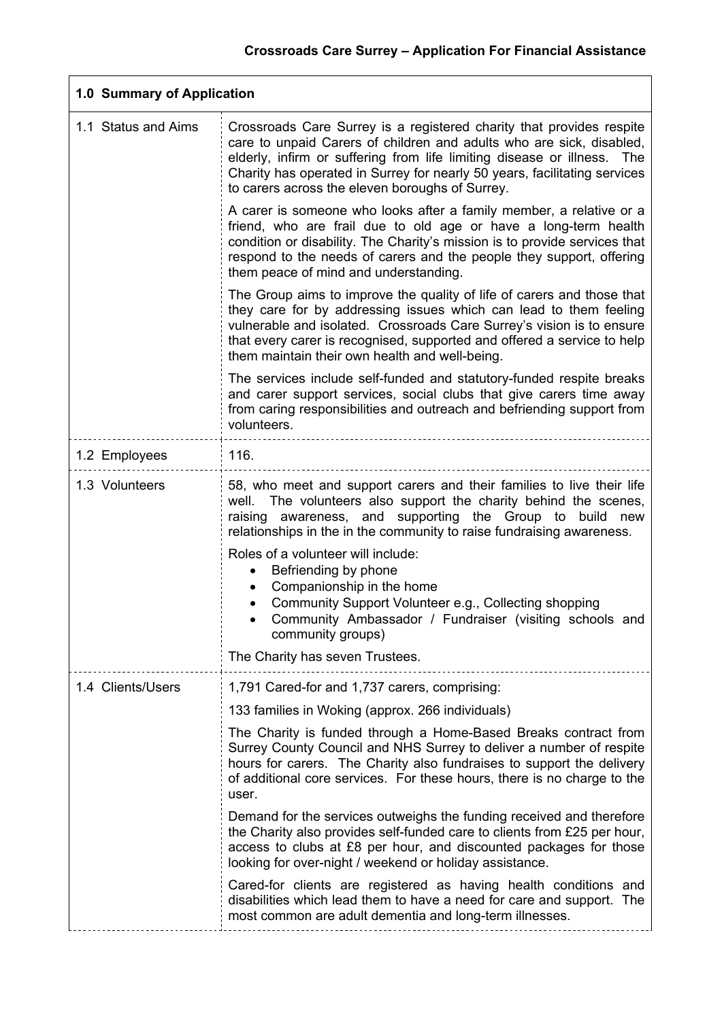| 1.0 Summary of Application |                                                                                                                                                                                                                                                                                                                                                         |  |
|----------------------------|---------------------------------------------------------------------------------------------------------------------------------------------------------------------------------------------------------------------------------------------------------------------------------------------------------------------------------------------------------|--|
| 1.1 Status and Aims        | Crossroads Care Surrey is a registered charity that provides respite<br>care to unpaid Carers of children and adults who are sick, disabled,<br>elderly, infirm or suffering from life limiting disease or illness. The<br>Charity has operated in Surrey for nearly 50 years, facilitating services<br>to carers across the eleven boroughs of Surrey. |  |
|                            | A carer is someone who looks after a family member, a relative or a<br>friend, who are frail due to old age or have a long-term health<br>condition or disability. The Charity's mission is to provide services that<br>respond to the needs of carers and the people they support, offering<br>them peace of mind and understanding.                   |  |
|                            | The Group aims to improve the quality of life of carers and those that<br>they care for by addressing issues which can lead to them feeling<br>vulnerable and isolated. Crossroads Care Surrey's vision is to ensure<br>that every carer is recognised, supported and offered a service to help<br>them maintain their own health and well-being.       |  |
|                            | The services include self-funded and statutory-funded respite breaks<br>and carer support services, social clubs that give carers time away<br>from caring responsibilities and outreach and befriending support from<br>volunteers.                                                                                                                    |  |
| 1.2 Employees              | 116.                                                                                                                                                                                                                                                                                                                                                    |  |
| 1.3 Volunteers             | 58, who meet and support carers and their families to live their life<br>well. The volunteers also support the charity behind the scenes,<br>raising awareness, and supporting the Group to build new<br>relationships in the in the community to raise fundraising awareness.                                                                          |  |
|                            | Roles of a volunteer will include:<br>Befriending by phone<br>Companionship in the home<br>Community Support Volunteer e.g., Collecting shopping<br>Community Ambassador / Fundraiser (visiting schools and<br>community groups)                                                                                                                        |  |
|                            | The Charity has seven Trustees.                                                                                                                                                                                                                                                                                                                         |  |
| 1.4 Clients/Users          | 1,791 Cared-for and 1,737 carers, comprising:<br>133 families in Woking (approx. 266 individuals)                                                                                                                                                                                                                                                       |  |
|                            | The Charity is funded through a Home-Based Breaks contract from<br>Surrey County Council and NHS Surrey to deliver a number of respite<br>hours for carers. The Charity also fundraises to support the delivery<br>of additional core services. For these hours, there is no charge to the<br>user.                                                     |  |
|                            | Demand for the services outweighs the funding received and therefore<br>the Charity also provides self-funded care to clients from £25 per hour,<br>access to clubs at £8 per hour, and discounted packages for those<br>looking for over-night / weekend or holiday assistance.                                                                        |  |
|                            | Cared-for clients are registered as having health conditions and<br>disabilities which lead them to have a need for care and support. The<br>most common are adult dementia and long-term illnesses.                                                                                                                                                    |  |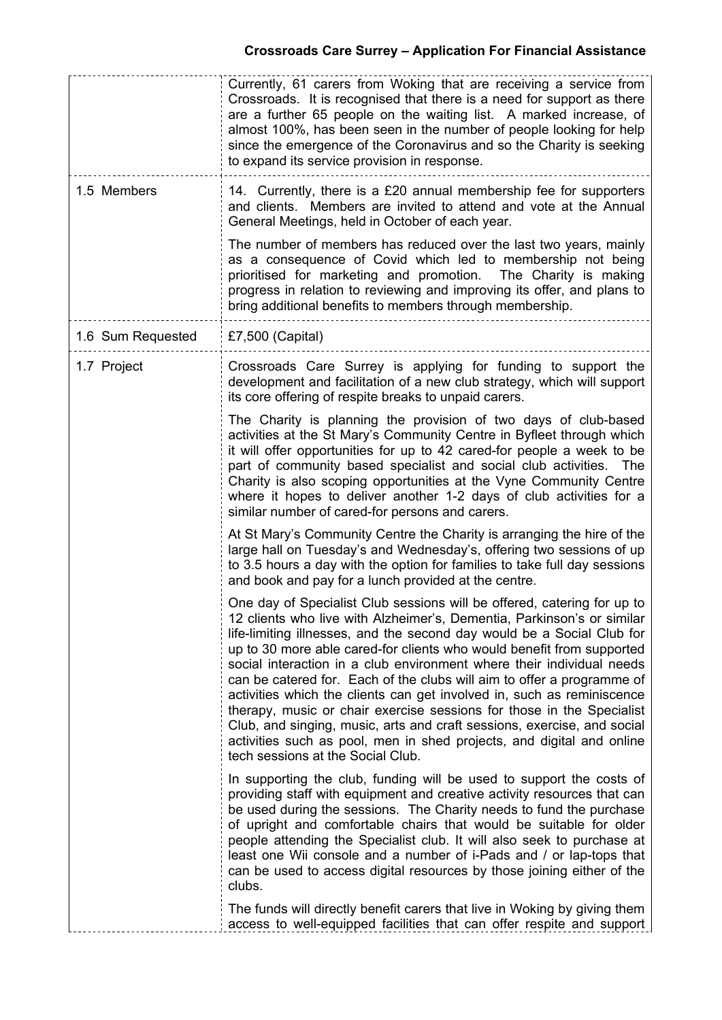|                   | Currently, 61 carers from Woking that are receiving a service from<br>Crossroads. It is recognised that there is a need for support as there<br>are a further 65 people on the waiting list. A marked increase, of<br>almost 100%, has been seen in the number of people looking for help<br>since the emergence of the Coronavirus and so the Charity is seeking<br>to expand its service provision in response.                                                                                                                                                                                                                                                                                                                                                                                   |  |
|-------------------|-----------------------------------------------------------------------------------------------------------------------------------------------------------------------------------------------------------------------------------------------------------------------------------------------------------------------------------------------------------------------------------------------------------------------------------------------------------------------------------------------------------------------------------------------------------------------------------------------------------------------------------------------------------------------------------------------------------------------------------------------------------------------------------------------------|--|
| 1.5 Members       | 14. Currently, there is a £20 annual membership fee for supporters<br>and clients. Members are invited to attend and vote at the Annual<br>General Meetings, held in October of each year.                                                                                                                                                                                                                                                                                                                                                                                                                                                                                                                                                                                                          |  |
|                   | The number of members has reduced over the last two years, mainly<br>as a consequence of Covid which led to membership not being<br>prioritised for marketing and promotion. The Charity is making<br>progress in relation to reviewing and improving its offer, and plans to<br>bring additional benefits to members through membership.                                                                                                                                                                                                                                                                                                                                                                                                                                                           |  |
| 1.6 Sum Requested | £7,500 (Capital)                                                                                                                                                                                                                                                                                                                                                                                                                                                                                                                                                                                                                                                                                                                                                                                    |  |
| 1.7 Project       | Crossroads Care Surrey is applying for funding to support the<br>development and facilitation of a new club strategy, which will support<br>its core offering of respite breaks to unpaid carers.                                                                                                                                                                                                                                                                                                                                                                                                                                                                                                                                                                                                   |  |
|                   | The Charity is planning the provision of two days of club-based<br>activities at the St Mary's Community Centre in Byfleet through which<br>it will offer opportunities for up to 42 cared-for people a week to be<br>part of community based specialist and social club activities.<br>The<br>Charity is also scoping opportunities at the Vyne Community Centre<br>where it hopes to deliver another 1-2 days of club activities for a<br>similar number of cared-for persons and carers.                                                                                                                                                                                                                                                                                                         |  |
|                   | At St Mary's Community Centre the Charity is arranging the hire of the<br>large hall on Tuesday's and Wednesday's, offering two sessions of up<br>to 3.5 hours a day with the option for families to take full day sessions<br>and book and pay for a lunch provided at the centre.                                                                                                                                                                                                                                                                                                                                                                                                                                                                                                                 |  |
|                   | One day of Specialist Club sessions will be offered, catering for up to<br>12 clients who live with Alzheimer's, Dementia, Parkinson's or similar<br>life-limiting illnesses, and the second day would be a Social Club for<br>up to 30 more able cared-for clients who would benefit from supported<br>social interaction in a club environment where their individual needs<br>can be catered for. Each of the clubs will aim to offer a programme of<br>activities which the clients can get involved in, such as reminiscence<br>therapy, music or chair exercise sessions for those in the Specialist<br>Club, and singing, music, arts and craft sessions, exercise, and social<br>activities such as pool, men in shed projects, and digital and online<br>tech sessions at the Social Club. |  |
|                   | In supporting the club, funding will be used to support the costs of<br>providing staff with equipment and creative activity resources that can<br>be used during the sessions. The Charity needs to fund the purchase<br>of upright and comfortable chairs that would be suitable for older<br>people attending the Specialist club. It will also seek to purchase at<br>least one Wii console and a number of i-Pads and / or lap-tops that<br>can be used to access digital resources by those joining either of the<br>clubs.                                                                                                                                                                                                                                                                   |  |
|                   | The funds will directly benefit carers that live in Woking by giving them<br>access to well-equipped facilities that can offer respite and support                                                                                                                                                                                                                                                                                                                                                                                                                                                                                                                                                                                                                                                  |  |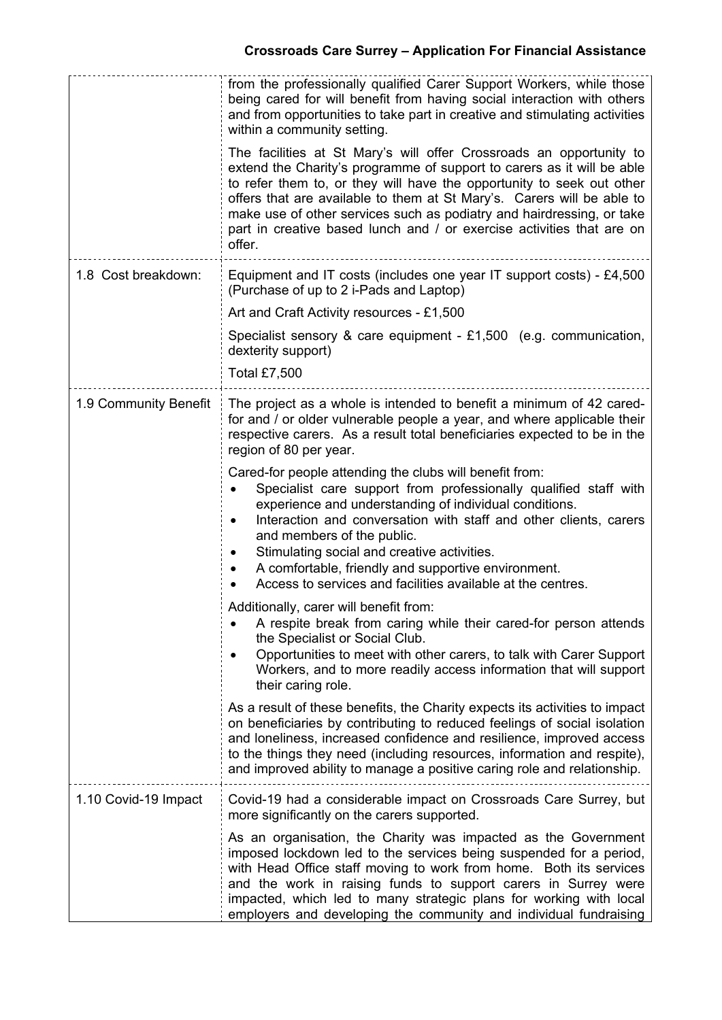|                       | from the professionally qualified Carer Support Workers, while those<br>being cared for will benefit from having social interaction with others<br>and from opportunities to take part in creative and stimulating activities<br>within a community setting.                                                                                                                                                                                                               |  |
|-----------------------|----------------------------------------------------------------------------------------------------------------------------------------------------------------------------------------------------------------------------------------------------------------------------------------------------------------------------------------------------------------------------------------------------------------------------------------------------------------------------|--|
|                       | The facilities at St Mary's will offer Crossroads an opportunity to<br>extend the Charity's programme of support to carers as it will be able<br>to refer them to, or they will have the opportunity to seek out other<br>offers that are available to them at St Mary's. Carers will be able to<br>make use of other services such as podiatry and hairdressing, or take<br>part in creative based lunch and / or exercise activities that are on<br>offer.               |  |
| 1.8 Cost breakdown:   | Equipment and IT costs (includes one year IT support costs) - £4,500<br>(Purchase of up to 2 i-Pads and Laptop)                                                                                                                                                                                                                                                                                                                                                            |  |
|                       | Art and Craft Activity resources - £1,500                                                                                                                                                                                                                                                                                                                                                                                                                                  |  |
|                       | Specialist sensory & care equipment - $£1,500$ (e.g. communication,<br>dexterity support)<br>Total £7,500                                                                                                                                                                                                                                                                                                                                                                  |  |
| 1.9 Community Benefit | The project as a whole is intended to benefit a minimum of 42 cared-<br>for and / or older vulnerable people a year, and where applicable their<br>respective carers. As a result total beneficiaries expected to be in the<br>region of 80 per year.                                                                                                                                                                                                                      |  |
|                       | Cared-for people attending the clubs will benefit from:<br>Specialist care support from professionally qualified staff with<br>experience and understanding of individual conditions.<br>Interaction and conversation with staff and other clients, carers<br>$\bullet$<br>and members of the public.<br>Stimulating social and creative activities.<br>A comfortable, friendly and supportive environment.<br>Access to services and facilities available at the centres. |  |
|                       | Additionally, carer will benefit from:<br>A respite break from caring while their cared-for person attends<br>the Specialist or Social Club.<br>Opportunities to meet with other carers, to talk with Carer Support<br>Workers, and to more readily access information that will support<br>their caring role.                                                                                                                                                             |  |
|                       | As a result of these benefits, the Charity expects its activities to impact<br>on beneficiaries by contributing to reduced feelings of social isolation<br>and loneliness, increased confidence and resilience, improved access<br>to the things they need (including resources, information and respite),<br>and improved ability to manage a positive caring role and relationship.                                                                                      |  |
| 1.10 Covid-19 Impact  | Covid-19 had a considerable impact on Crossroads Care Surrey, but<br>more significantly on the carers supported.                                                                                                                                                                                                                                                                                                                                                           |  |
|                       | As an organisation, the Charity was impacted as the Government<br>imposed lockdown led to the services being suspended for a period,<br>with Head Office staff moving to work from home. Both its services<br>and the work in raising funds to support carers in Surrey were<br>impacted, which led to many strategic plans for working with local<br>employers and developing the community and individual fundraising                                                    |  |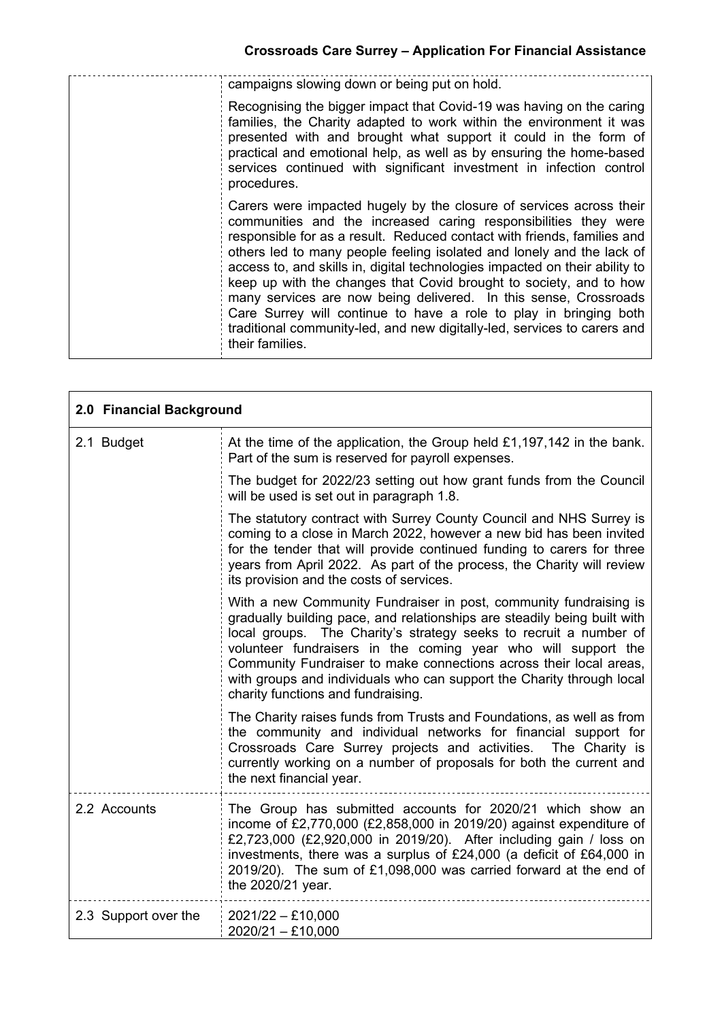٦

| campaigns slowing down or being put on hold.                                                                                                                                                                                                                                                                                                                                                                                                                                                                                                                                                                                                                                            |
|-----------------------------------------------------------------------------------------------------------------------------------------------------------------------------------------------------------------------------------------------------------------------------------------------------------------------------------------------------------------------------------------------------------------------------------------------------------------------------------------------------------------------------------------------------------------------------------------------------------------------------------------------------------------------------------------|
| Recognising the bigger impact that Covid-19 was having on the caring<br>families, the Charity adapted to work within the environment it was<br>presented with and brought what support it could in the form of<br>practical and emotional help, as well as by ensuring the home-based<br>services continued with significant investment in infection control<br>procedures.                                                                                                                                                                                                                                                                                                             |
| Carers were impacted hugely by the closure of services across their<br>communities and the increased caring responsibilities they were<br>responsible for as a result. Reduced contact with friends, families and<br>others led to many people feeling isolated and lonely and the lack of<br>access to, and skills in, digital technologies impacted on their ability to<br>keep up with the changes that Covid brought to society, and to how<br>many services are now being delivered. In this sense, Crossroads<br>Care Surrey will continue to have a role to play in bringing both<br>traditional community-led, and new digitally-led, services to carers and<br>their families. |

| 2.0 Financial Background |                                                                                                                                                                                                                                                                                                                                                                                                                                                                          |  |
|--------------------------|--------------------------------------------------------------------------------------------------------------------------------------------------------------------------------------------------------------------------------------------------------------------------------------------------------------------------------------------------------------------------------------------------------------------------------------------------------------------------|--|
| 2.1 Budget               | At the time of the application, the Group held £1,197,142 in the bank.<br>Part of the sum is reserved for payroll expenses.                                                                                                                                                                                                                                                                                                                                              |  |
|                          | The budget for 2022/23 setting out how grant funds from the Council<br>will be used is set out in paragraph 1.8.                                                                                                                                                                                                                                                                                                                                                         |  |
|                          | The statutory contract with Surrey County Council and NHS Surrey is<br>coming to a close in March 2022, however a new bid has been invited<br>for the tender that will provide continued funding to carers for three<br>years from April 2022. As part of the process, the Charity will review<br>its provision and the costs of services.                                                                                                                               |  |
|                          | With a new Community Fundraiser in post, community fundraising is<br>gradually building pace, and relationships are steadily being built with<br>local groups. The Charity's strategy seeks to recruit a number of<br>volunteer fundraisers in the coming year who will support the<br>Community Fundraiser to make connections across their local areas,<br>with groups and individuals who can support the Charity through local<br>charity functions and fundraising. |  |
|                          | The Charity raises funds from Trusts and Foundations, as well as from<br>the community and individual networks for financial support for<br>Crossroads Care Surrey projects and activities. The Charity is<br>currently working on a number of proposals for both the current and<br>the next financial year.                                                                                                                                                            |  |
| 2.2 Accounts             | The Group has submitted accounts for 2020/21 which show an<br>income of £2,770,000 (£2,858,000 in 2019/20) against expenditure of<br>£2,723,000 (£2,920,000 in 2019/20). After including gain / loss on<br>investments, there was a surplus of £24,000 (a deficit of £64,000 in<br>2019/20). The sum of £1,098,000 was carried forward at the end of<br>the 2020/21 year.                                                                                                |  |
| 2.3 Support over the     | $2021/22 - £10,000$<br>$2020/21 - £10,000$                                                                                                                                                                                                                                                                                                                                                                                                                               |  |